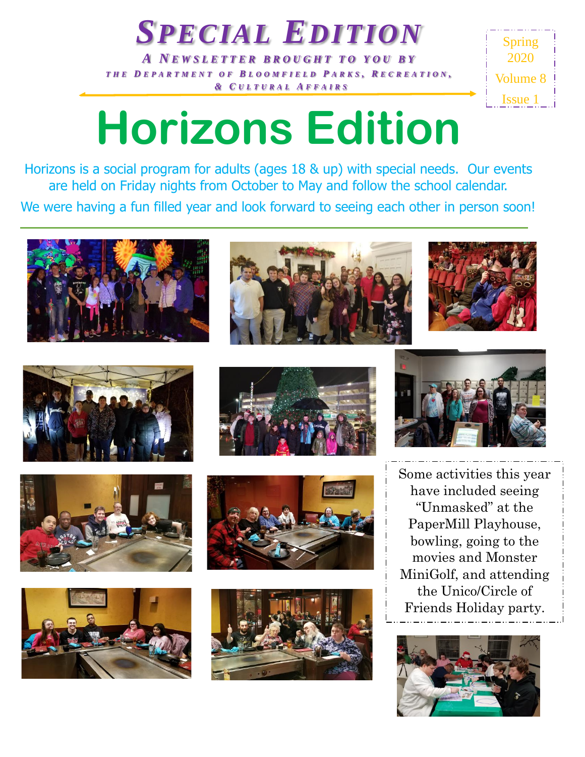*A N E W S L E T T E R B R O U G H T T O Y O U B Y T H E D E P A R T M E N T O F B L O O M F I E L D P ARKS , R E C R E A T I O N , & C U L T U R A L A F F A I R S*

*SPECIAL EDITION*



## **Horizons Edition**

Horizons is a social program for adults (ages 18 & up) with special needs. Our events are held on Friday nights from October to May and follow the school calendar. We were having a fun filled year and look forward to seeing each other in person soon!





















Some activities this year have included seeing "Unmasked" at the PaperMill Playhouse, bowling, going to the movies and Monster MiniGolf, and attending the Unico/Circle of Friends Holiday party.